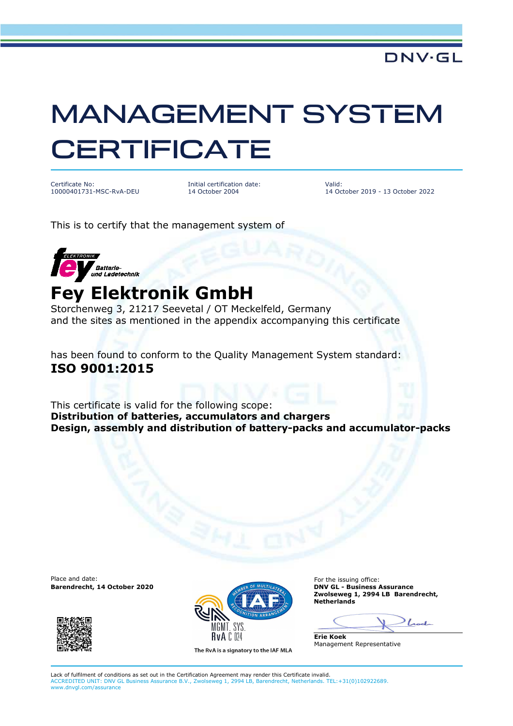## MANAGEMENT SYSTEM **CERTIFICATE**

Certificate No: 10000401731-MSC-RvA-DEU Initial certification date: 14 October 2004

Valid: 14 October 2019 - 13 October 2022

This is to certify that the management system of



## **Fey Elektronik GmbH**

Storchenweg 3, 21217 Seevetal / OT Meckelfeld, Germany and the sites as mentioned in the appendix accompanying this certificate

has been found to conform to the Quality Management System standard: **ISO 9001:2015**

This certificate is valid for the following scope: **Distribution of batteries, accumulators and chargers Design, assembly and distribution of battery-packs and accumulator-packs** 

Place and date: **For the issuing office:** For the issuing office:





The RvA is a signatory to the IAF MLA

**Zwolseweg 1, 2994 LB Barendrecht, Netherlands** 

 $\mathcal{L}$ 

**Erie Koek** Management Representative

Lack of fulfilment of conditions as set out in the Certification Agreement may render this Certificate invalid. ACCREDITED UNIT: DNV GL Business Assurance B.V., Zwolseweg 1, 2994 LB, Barendrecht, Netherlands. TEL:+31(0)102922689. www.dnvgl.com/assurance